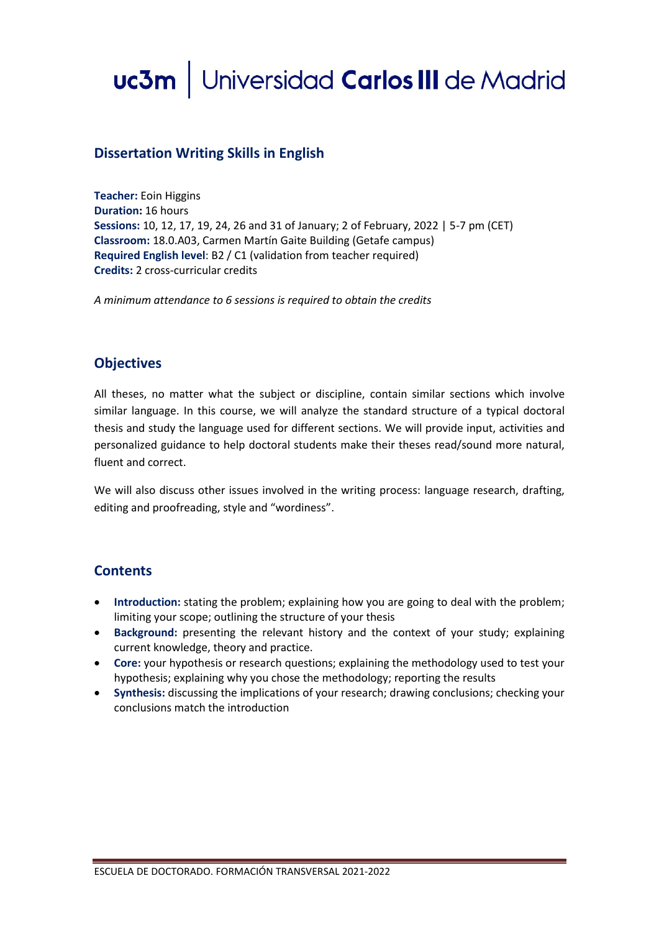# uc3m | Universidad Carlos III de Madrid

## **Dissertation Writing Skills in English**

**Teacher:** Eoin Higgins **Duration:** 16 hours **Sessions:** 10, 12, 17, 19, 24, 26 and 31 of January; 2 of February, 2022 | 5-7 pm (CET) **Classroom:** 18.0.A03, Carmen Martín Gaite Building (Getafe campus) **Required English level**: B2 / C1 (validation from teacher required) **Credits:** 2 cross-curricular credits

*A minimum attendance to 6 sessions is required to obtain the credits*

## **Objectives**

All theses, no matter what the subject or discipline, contain similar sections which involve similar language. In this course, we will analyze the standard structure of a typical doctoral thesis and study the language used for different sections. We will provide input, activities and personalized guidance to help doctoral students make their theses read/sound more natural, fluent and correct.

We will also discuss other issues involved in the writing process: language research, drafting, editing and proofreading, style and "wordiness".

### **Contents**

- **Introduction:** stating the problem; explaining how you are going to deal with the problem; limiting your scope; outlining the structure of your thesis
- **Background:** presenting the relevant history and the context of your study; explaining current knowledge, theory and practice.
- **Core:** your hypothesis or research questions; explaining the methodology used to test your hypothesis; explaining why you chose the methodology; reporting the results
- **Synthesis:** discussing the implications of your research; drawing conclusions; checking your conclusions match the introduction